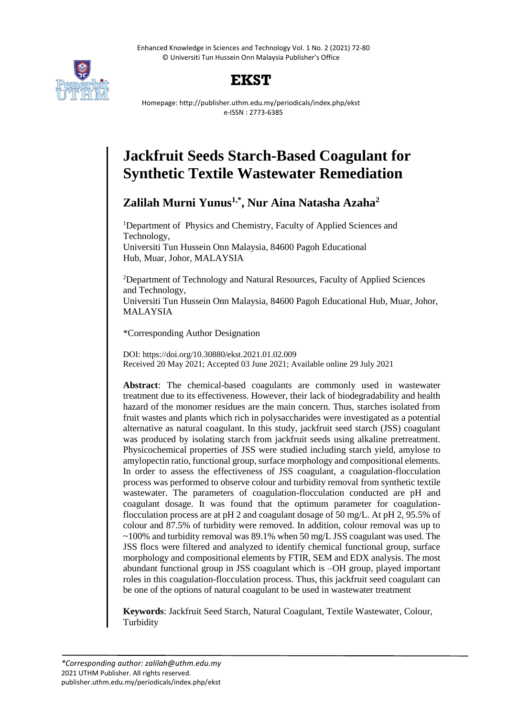Enhanced Knowledge in Sciences and Technology Vol. 1 No. 2 (2021) 72-80 © Universiti Tun Hussein Onn Malaysia Publisher's Office





Homepage: http://publisher.uthm.edu.my/periodicals/index.php/ekst e-ISSN : 2773-6385

# **Jackfruit Seeds Starch-Based Coagulant for Synthetic Textile Wastewater Remediation**

# **Zalilah Murni Yunus1,\* , Nur Aina Natasha Azaha<sup>2</sup>**

<sup>1</sup>Department of Physics and Chemistry, Faculty of Applied Sciences and Technology, Universiti Tun Hussein Onn Malaysia, 84600 Pagoh Educational Hub, Muar, Johor, MALAYSIA

<sup>2</sup>Department of Technology and Natural Resources, Faculty of Applied Sciences and Technology, Universiti Tun Hussein Onn Malaysia, 84600 Pagoh Educational Hub, Muar, Johor, MALAYSIA

\*Corresponding Author Designation

DOI: https://doi.org/10.30880/ekst.2021.01.02.009 Received 20 May 2021; Accepted 03 June 2021; Available online 29 July 2021

**Abstract**: The chemical-based coagulants are commonly used in wastewater treatment due to its effectiveness. However, their lack of biodegradability and health hazard of the monomer residues are the main concern. Thus, starches isolated from fruit wastes and plants which rich in polysaccharides were investigated as a potential alternative as natural coagulant. In this study, jackfruit seed starch (JSS) coagulant was produced by isolating starch from jackfruit seeds using alkaline pretreatment. Physicochemical properties of JSS were studied including starch yield, amylose to amylopectin ratio, functional group, surface morphology and compositional elements. In order to assess the effectiveness of JSS coagulant, a coagulation-flocculation process was performed to observe colour and turbidity removal from synthetic textile wastewater. The parameters of coagulation-flocculation conducted are pH and coagulant dosage. It was found that the optimum parameter for coagulationflocculation process are at pH 2 and coagulant dosage of 50 mg/L. At pH 2, 95.5% of colour and 87.5% of turbidity were removed. In addition, colour removal was up to  $\sim$ 100% and turbidity removal was 89.1% when 50 mg/L JSS coagulant was used. The JSS flocs were filtered and analyzed to identify chemical functional group, surface morphology and compositional elements by FTIR, SEM and EDX analysis. The most abundant functional group in JSS coagulant which is –OH group, played important roles in this coagulation-flocculation process. Thus, this jackfruit seed coagulant can be one of the options of natural coagulant to be used in wastewater treatment

**Keywords**: Jackfruit Seed Starch, Natural Coagulant, Textile Wastewater, Colour, Turbidity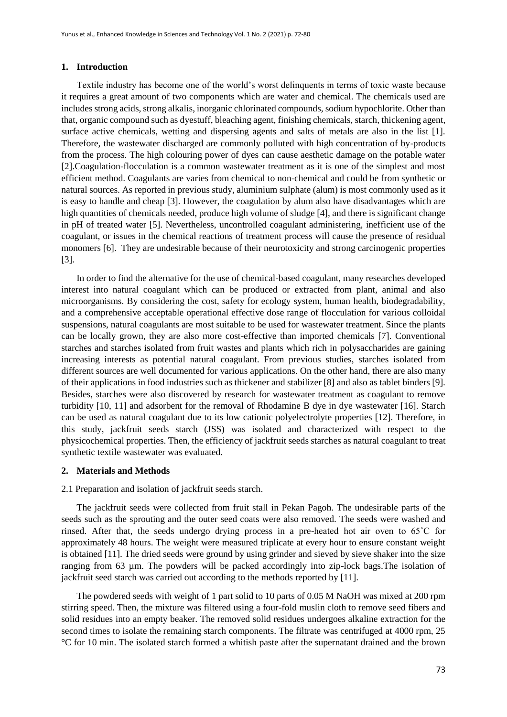#### **1. Introduction**

Textile industry has become one of the world's worst delinquents in terms of toxic waste because it requires a great amount of two components which are water and chemical. The chemicals used are includes strong acids, strong alkalis, inorganic chlorinated compounds, sodium hypochlorite. Other than that, organic compound such as dyestuff, bleaching agent, finishing chemicals, starch, thickening agent, surface active chemicals, wetting and dispersing agents and salts of metals are also in the list [1]. Therefore, the wastewater discharged are commonly polluted with high concentration of by-products from the process. The high colouring power of dyes can cause aesthetic damage on the potable water [2].Coagulation-flocculation is a common wastewater treatment as it is one of the simplest and most efficient method. Coagulants are varies from chemical to non-chemical and could be from synthetic or natural sources. As reported in previous study, aluminium sulphate (alum) is most commonly used as it is easy to handle and cheap [3]. However, the coagulation by alum also have disadvantages which are high quantities of chemicals needed, produce high volume of sludge [4], and there is significant change in pH of treated water [5]. Nevertheless, uncontrolled coagulant administering, inefficient use of the coagulant, or issues in the chemical reactions of treatment process will cause the presence of residual monomers [6]. They are undesirable because of their neurotoxicity and strong carcinogenic properties [3].

In order to find the alternative for the use of chemical-based coagulant, many researches developed interest into natural coagulant which can be produced or extracted from plant, animal and also microorganisms. By considering the cost, safety for ecology system, human health, biodegradability, and a comprehensive acceptable operational effective dose range of flocculation for various colloidal suspensions, natural coagulants are most suitable to be used for wastewater treatment. Since the plants can be locally grown, they are also more cost-effective than imported chemicals [7]. Conventional starches and starches isolated from fruit wastes and plants which rich in polysaccharides are gaining increasing interests as potential natural coagulant. From previous studies, starches isolated from different sources are well documented for various applications. On the other hand, there are also many of their applications in food industries such as thickener and stabilizer [8] and also as tablet binders [9]. Besides, starches were also discovered by research for wastewater treatment as coagulant to remove turbidity [10, 11] and adsorbent for the removal of Rhodamine B dye in dye wastewater [16]. Starch can be used as natural coagulant due to its low cationic polyelectrolyte properties [12]. Therefore, in this study, jackfruit seeds starch (JSS) was isolated and characterized with respect to the physicochemical properties. Then, the efficiency of jackfruit seeds starches as natural coagulant to treat synthetic textile wastewater was evaluated.

#### **2. Materials and Methods**

2.1 Preparation and isolation of jackfruit seeds starch.

The jackfruit seeds were collected from fruit stall in Pekan Pagoh. The undesirable parts of the seeds such as the sprouting and the outer seed coats were also removed. The seeds were washed and rinsed. After that, the seeds undergo drying process in a pre-heated hot air oven to 65˚C for approximately 48 hours. The weight were measured triplicate at every hour to ensure constant weight is obtained [11]. The dried seeds were ground by using grinder and sieved by sieve shaker into the size ranging from 63 µm. The powders will be packed accordingly into zip-lock bags.The isolation of jackfruit seed starch was carried out according to the methods reported by [11].

The powdered seeds with weight of 1 part solid to 10 parts of 0.05 M NaOH was mixed at 200 rpm stirring speed. Then, the mixture was filtered using a four-fold muslin cloth to remove seed fibers and solid residues into an empty beaker. The removed solid residues undergoes alkaline extraction for the second times to isolate the remaining starch components. The filtrate was centrifuged at 4000 rpm, 25 °C for 10 min. The isolated starch formed a whitish paste after the supernatant drained and the brown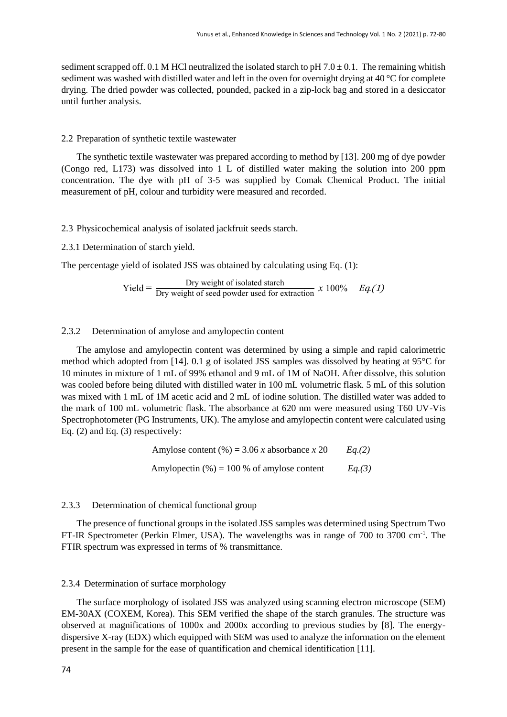sediment scrapped off. 0.1 M HCl neutralized the isolated starch to pH  $7.0 \pm 0.1$ . The remaining whitish sediment was washed with distilled water and left in the oven for overnight drying at 40 °C for complete drying. The dried powder was collected, pounded, packed in a zip-lock bag and stored in a desiccator until further analysis.

#### 2.2 Preparation of synthetic textile wastewater

The synthetic textile wastewater was prepared according to method by [13]. 200 mg of dye powder (Congo red, L173) was dissolved into 1 L of distilled water making the solution into 200 ppm concentration. The dye with pH of 3-5 was supplied by Comak Chemical Product. The initial measurement of pH, colour and turbidity were measured and recorded.

2.3 Physicochemical analysis of isolated jackfruit seeds starch.

2.3.1 Determination of starch yield.

The percentage yield of isolated JSS was obtained by calculating using Eq. (1):

$$
Yield = \frac{Dry \text{ weight of isolated starch}}{Dry \text{ weight of seed powder used for extraction}} \, x \, 100\% \quad Eq. (1)
$$

# 2.3.2 Determination of amylose and amylopectin content

The amylose and amylopectin content was determined by using a simple and rapid calorimetric method which adopted from [14]. 0.1 g of isolated JSS samples was dissolved by heating at 95°C for 10 minutes in mixture of 1 mL of 99% ethanol and 9 mL of 1M of NaOH. After dissolve, this solution was cooled before being diluted with distilled water in 100 mL volumetric flask. 5 mL of this solution was mixed with 1 mL of 1M acetic acid and 2 mL of iodine solution. The distilled water was added to the mark of 100 mL volumetric flask. The absorbance at 620 nm were measured using T60 UV-Vis Spectrophotometer (PG Instruments, UK). The amylose and amylopectin content were calculated using Eq. (2) and Eq. (3) respectively:

> Amylose content  $(\%) = 3.06 x$  absorbance  $x$  20  $Eq.(2)$ Amylopectin (%) = 100 % of amylose content *Eq.(3)*

# 2.3.3 Determination of chemical functional group

The presence of functional groups in the isolated JSS samples was determined using Spectrum Two FT-IR Spectrometer (Perkin Elmer, USA). The wavelengths was in range of 700 to 3700 cm<sup>-1</sup>. The FTIR spectrum was expressed in terms of % transmittance.

## 2.3.4 Determination of surface morphology

The surface morphology of isolated JSS was analyzed using scanning electron microscope (SEM) EM-30AX (COXEM, Korea). This SEM verified the shape of the starch granules. The structure was observed at magnifications of 1000x and 2000x according to previous studies by [8]. The energydispersive X-ray (EDX) which equipped with SEM was used to analyze the information on the element present in the sample for the ease of quantification and chemical identification [11].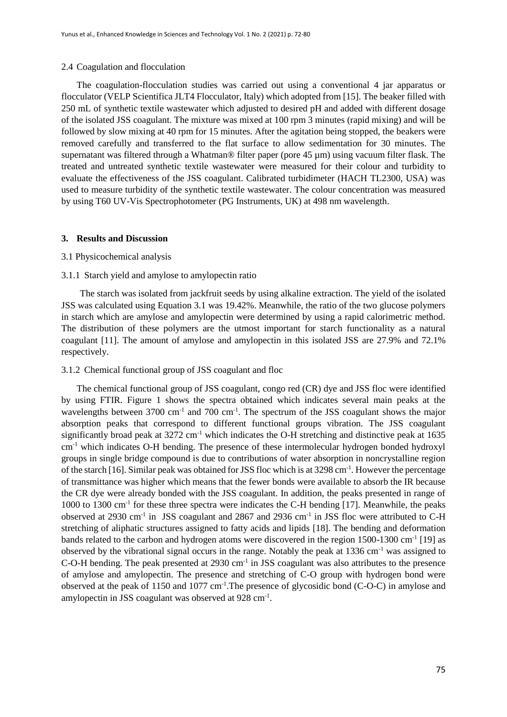#### 2.4 Coagulation and flocculation

The coagulation-flocculation studies was carried out using a conventional 4 jar apparatus or flocculator (VELP Scientifica JLT4 Flocculator, Italy) which adopted from [15]. The beaker filled with 250 mL of synthetic textile wastewater which adjusted to desired pH and added with different dosage of the isolated JSS coagulant. The mixture was mixed at 100 rpm 3 minutes (rapid mixing) and will be followed by slow mixing at 40 rpm for 15 minutes. After the agitation being stopped, the beakers were removed carefully and transferred to the flat surface to allow sedimentation for 30 minutes. The supernatant was filtered through a Whatman® filter paper (pore 45 µm) using vacuum filter flask. The treated and untreated synthetic textile wastewater were measured for their colour and turbidity to evaluate the effectiveness of the JSS coagulant. Calibrated turbidimeter (HACH TL2300, USA) was used to measure turbidity of the synthetic textile wastewater. The colour concentration was measured by using T60 UV-Vis Spectrophotometer (PG Instruments, UK) at 498 nm wavelength.

# **3. Results and Discussion**

# 3.1 Physicochemical analysis

# 3.1.1 Starch yield and amylose to amylopectin ratio

 The starch was isolated from jackfruit seeds by using alkaline extraction. The yield of the isolated JSS was calculated using Equation 3.1 was 19.42%. Meanwhile, the ratio of the two glucose polymers in starch which are amylose and amylopectin were determined by using a rapid calorimetric method. The distribution of these polymers are the utmost important for starch functionality as a natural coagulant [11]. The amount of amylose and amylopectin in this isolated JSS are 27.9% and 72.1% respectively.

#### 3.1.2 Chemical functional group of JSS coagulant and floc

The chemical functional group of JSS coagulant, congo red (CR) dye and JSS floc were identified by using FTIR. Figure 1 shows the spectra obtained which indicates several main peaks at the wavelengths between  $3700 \text{ cm}^{-1}$  and  $700 \text{ cm}^{-1}$ . The spectrum of the JSS coagulant shows the major absorption peaks that correspond to different functional groups vibration. The JSS coagulant significantly broad peak at 3272 cm<sup>-1</sup> which indicates the O-H stretching and distinctive peak at 1635 cm-1 which indicates O-H bending. The presence of these intermolecular hydrogen bonded hydroxyl groups in single bridge compound is due to contributions of water absorption in noncrystalline region of the starch [16]. Similar peak was obtained for JSS floc which is at 3298 cm<sup>-1</sup>. However the percentage of transmittance was higher which means that the fewer bonds were available to absorb the IR because the CR dye were already bonded with the JSS coagulant. In addition, the peaks presented in range of 1000 to 1300 cm<sup>-1</sup> for these three spectra were indicates the C-H bending [17]. Meanwhile, the peaks observed at 2930 cm<sup>-1</sup> in JSS coagulant and 2867 and 2936 cm<sup>-1</sup> in JSS floc were attributed to C-H stretching of aliphatic structures assigned to fatty acids and lipids [18]. The bending and deformation bands related to the carbon and hydrogen atoms were discovered in the region 1500-1300 cm<sup>-1</sup> [19] as observed by the vibrational signal occurs in the range. Notably the peak at 1336 cm-1 was assigned to C-O-H bending. The peak presented at 2930 cm<sup>-1</sup> in JSS coagulant was also attributes to the presence of amylose and amylopectin. The presence and stretching of C-O group with hydrogen bond were observed at the peak of 1150 and 1077 cm<sup>-1</sup>. The presence of glycosidic bond (C-O-C) in amylose and amylopectin in JSS coagulant was observed at 928 cm<sup>-1</sup>.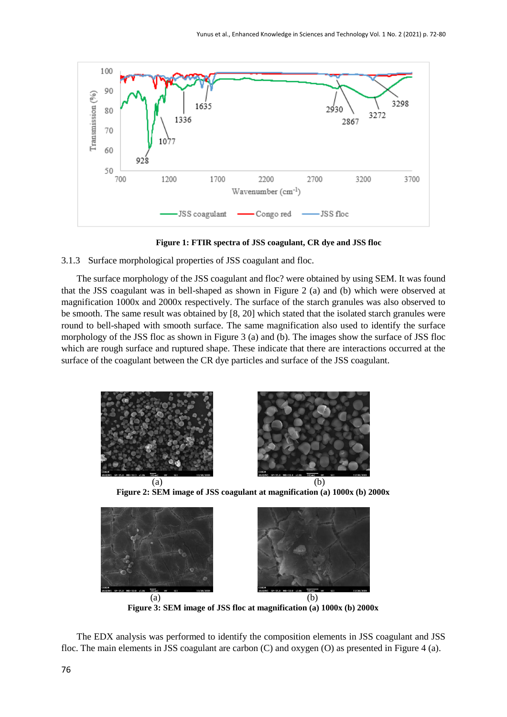

**Figure 1: FTIR spectra of JSS coagulant, CR dye and JSS floc**

3.1.3 Surface morphological properties of JSS coagulant and floc.

The surface morphology of the JSS coagulant and floc? were obtained by using SEM. It was found that the JSS coagulant was in bell-shaped as shown in Figure 2 (a) and (b) which were observed at magnification 1000x and 2000x respectively. The surface of the starch granules was also observed to be smooth. The same result was obtained by [8, 20] which stated that the isolated starch granules were round to bell-shaped with smooth surface. The same magnification also used to identify the surface morphology of the JSS floc as shown in Figure 3 (a) and (b). The images show the surface of JSS floc which are rough surface and ruptured shape. These indicate that there are interactions occurred at the surface of the coagulant between the CR dye particles and surface of the JSS coagulant.







**Figure 3: SEM image of JSS floc at magnification (a) 1000x (b) 2000x**

The EDX analysis was performed to identify the composition elements in JSS coagulant and JSS floc. The main elements in JSS coagulant are carbon (C) and oxygen (O) as presented in Figure 4 (a).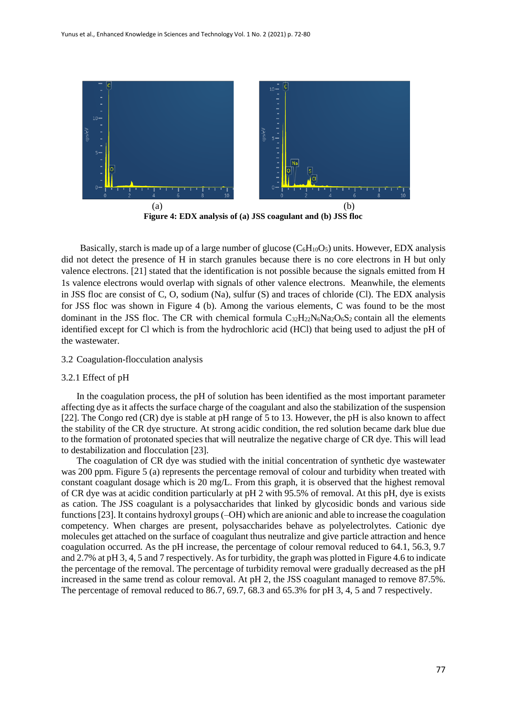

**Figure 4: EDX analysis of (a) JSS coagulant and (b) JSS floc**

Basically, starch is made up of a large number of glucose  $(C_6H_{10}O_5)$  units. However, EDX analysis did not detect the presence of H in starch granules because there is no core electrons in H but only valence electrons. [21] stated that the identification is not possible because the signals emitted from H 1s valence electrons would overlap with signals of other valence electrons. Meanwhile, the elements in JSS floc are consist of C, O, sodium (Na), sulfur (S) and traces of chloride (Cl). The EDX analysis for JSS floc was shown in Figure 4 (b). Among the various elements, C was found to be the most dominant in the JSS floc. The CR with chemical formula  $C_{32}H_{22}N_6N_{a2}O_6S_2$  contain all the elements identified except for Cl which is from the hydrochloric acid (HCl) that being used to adjust the pH of the wastewater.

# 3.2 Coagulation-flocculation analysis

#### 3.2.1 Effect of pH

In the coagulation process, the pH of solution has been identified as the most important parameter affecting dye as it affects the surface charge of the coagulant and also the stabilization of the suspension [22]. The Congo red (CR) dye is stable at pH range of 5 to 13. However, the pH is also known to affect the stability of the CR dye structure. At strong acidic condition, the red solution became dark blue due to the formation of protonated species that will neutralize the negative charge of CR dye. This will lead to destabilization and flocculation [23].

The coagulation of CR dye was studied with the initial concentration of synthetic dye wastewater was 200 ppm. Figure 5 (a) represents the percentage removal of colour and turbidity when treated with constant coagulant dosage which is 20 mg/L. From this graph, it is observed that the highest removal of CR dye was at acidic condition particularly at pH 2 with 95.5% of removal. At this pH, dye is exists as cation. The JSS coagulant is a polysaccharides that linked by glycosidic bonds and various side functions [23]. It contains hydroxyl groups (–OH) which are anionic and able to increase the coagulation competency. When charges are present, polysaccharides behave as polyelectrolytes. Cationic dye molecules get attached on the surface of coagulant thus neutralize and give particle attraction and hence coagulation occurred. As the pH increase, the percentage of colour removal reduced to 64.1, 56.3, 9.7 and 2.7% at pH 3, 4, 5 and 7 respectively. As for turbidity, the graph was plotted in Figure 4.6 to indicate the percentage of the removal. The percentage of turbidity removal were gradually decreased as the pH increased in the same trend as colour removal. At pH 2, the JSS coagulant managed to remove 87.5%. The percentage of removal reduced to 86.7, 69.7, 68.3 and 65.3% for pH 3, 4, 5 and 7 respectively.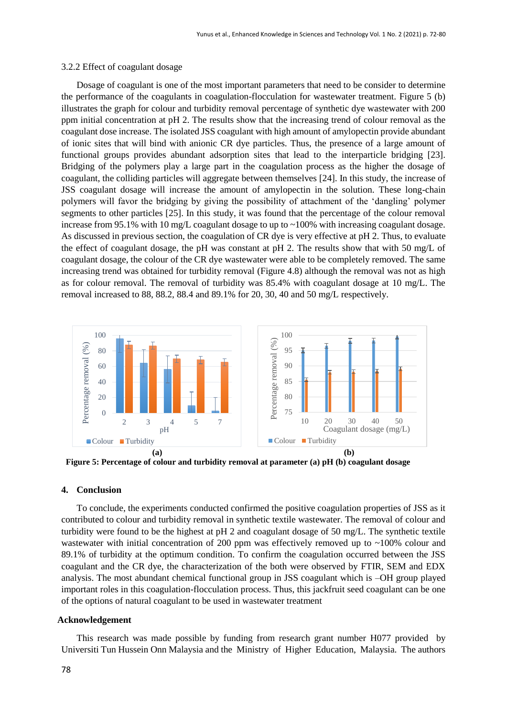#### 3.2.2 Effect of coagulant dosage

Dosage of coagulant is one of the most important parameters that need to be consider to determine the performance of the coagulants in coagulation-flocculation for wastewater treatment. Figure 5 (b) illustrates the graph for colour and turbidity removal percentage of synthetic dye wastewater with 200 ppm initial concentration at pH 2. The results show that the increasing trend of colour removal as the coagulant dose increase. The isolated JSS coagulant with high amount of amylopectin provide abundant of ionic sites that will bind with anionic CR dye particles. Thus, the presence of a large amount of functional groups provides abundant adsorption sites that lead to the interparticle bridging [23]. Bridging of the polymers play a large part in the coagulation process as the higher the dosage of coagulant, the colliding particles will aggregate between themselves [24]. In this study, the increase of JSS coagulant dosage will increase the amount of amylopectin in the solution. These long-chain polymers will favor the bridging by giving the possibility of attachment of the 'dangling' polymer segments to other particles [25]. In this study, it was found that the percentage of the colour removal increase from 95.1% with 10 mg/L coagulant dosage to up to  $\sim$ 100% with increasing coagulant dosage. As discussed in previous section, the coagulation of CR dye is very effective at pH 2. Thus, to evaluate the effect of coagulant dosage, the pH was constant at pH 2. The results show that with 50 mg/L of coagulant dosage, the colour of the CR dye wastewater were able to be completely removed. The same increasing trend was obtained for turbidity removal (Figure 4.8) although the removal was not as high as for colour removal. The removal of turbidity was 85.4% with coagulant dosage at 10 mg/L. The removal increased to 88, 88.2, 88.4 and 89.1% for 20, 30, 40 and 50 mg/L respectively.



**Figure 5: Percentage of colour and turbidity removal at parameter (a) pH (b) coagulant dosage**

#### **4. Conclusion**

To conclude, the experiments conducted confirmed the positive coagulation properties of JSS as it contributed to colour and turbidity removal in synthetic textile wastewater. The removal of colour and turbidity were found to be the highest at pH 2 and coagulant dosage of 50 mg/L. The synthetic textile wastewater with initial concentration of 200 ppm was effectively removed up to ~100% colour and 89.1% of turbidity at the optimum condition. To confirm the coagulation occurred between the JSS coagulant and the CR dye, the characterization of the both were observed by FTIR, SEM and EDX analysis. The most abundant chemical functional group in JSS coagulant which is –OH group played important roles in this coagulation-flocculation process. Thus, this jackfruit seed coagulant can be one of the options of natural coagulant to be used in wastewater treatment

# **Acknowledgement**

This research was made possible by funding from research grant number H077 provided by Universiti Tun Hussein Onn Malaysia and the Ministry of Higher Education, Malaysia. The authors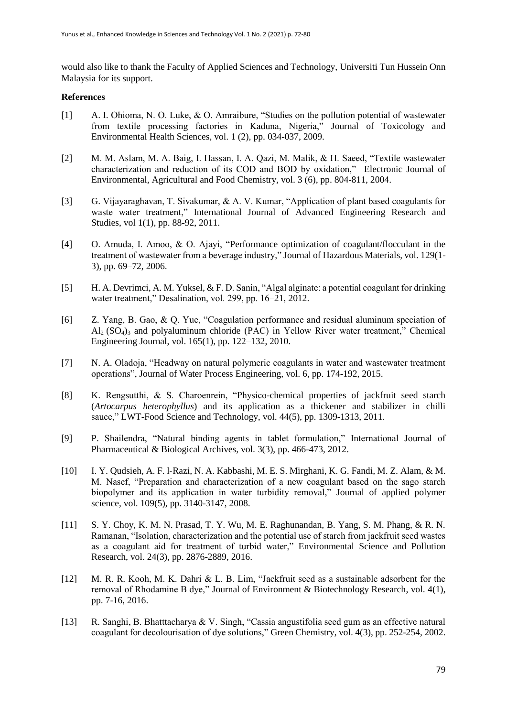would also like to thank the Faculty of Applied Sciences and Technology, Universiti Tun Hussein Onn Malaysia for its support.

# **References**

- [1] A. I. Ohioma, N. O. Luke, & O. Amraibure, "Studies on the pollution potential of wastewater from textile processing factories in Kaduna, Nigeria," Journal of Toxicology and Environmental Health Sciences, vol. 1 (2), pp. 034-037, 2009.
- [2] M. M. Aslam, M. A. Baig, I. Hassan, I. A. Qazi, M. Malik, & H. Saeed, "Textile wastewater characterization and reduction of its COD and BOD by oxidation," Electronic Journal of Environmental, Agricultural and Food Chemistry, vol. 3 (6), pp. 804-811, 2004.
- [3] G. Vijayaraghavan, T. Sivakumar, & A. V. Kumar, "Application of plant based coagulants for waste water treatment," International Journal of Advanced Engineering Research and Studies, vol 1(1), pp. 88-92, 2011.
- [4] O. Amuda, I. Amoo, & O. Ajayi, "Performance optimization of coagulant/flocculant in the treatment of wastewater from a beverage industry," Journal of Hazardous Materials, vol. 129(1- 3), pp. 69–72, 2006.
- [5] H. A. Devrimci, A. M. Yuksel, & F. D. Sanin, "Algal alginate: a potential coagulant for drinking water treatment," Desalination, vol. 299, pp. 16–21, 2012.
- [6] Z. Yang, B. Gao, & Q. Yue, "Coagulation performance and residual aluminum speciation of Al2 (SO4)<sup>3</sup> and polyaluminum chloride (PAC) in Yellow River water treatment," Chemical Engineering Journal, vol. 165(1), pp. 122–132, 2010.
- [7] N. A. Oladoja, "Headway on natural polymeric coagulants in water and wastewater treatment operations", Journal of Water Process Engineering, vol. 6, pp. 174-192, 2015.
- [8] K. Rengsutthi, & S. Charoenrein, "Physico-chemical properties of jackfruit seed starch (*Artocarpus heterophyllus*) and its application as a thickener and stabilizer in chilli sauce," LWT-Food Science and Technology, vol. 44(5), pp. 1309-1313, 2011.
- [9] P. Shailendra, "Natural binding agents in tablet formulation," International Journal of Pharmaceutical & Biological Archives, vol. 3(3), pp. 466-473, 2012.
- [10] I. Y. Qudsieh, A. F. l‐Razi, N. A. Kabbashi, M. E. S. Mirghani, K. G. Fandi, M. Z. Alam, & M. M. Nasef, "Preparation and characterization of a new coagulant based on the sago starch biopolymer and its application in water turbidity removal," Journal of applied polymer science, vol. 109(5), pp. 3140-3147, 2008.
- [11] S. Y. Choy, K. M. N. Prasad, T. Y. Wu, M. E. Raghunandan, B. Yang, S. M. Phang, & R. N. Ramanan, "Isolation, characterization and the potential use of starch from jackfruit seed wastes as a coagulant aid for treatment of turbid water," Environmental Science and Pollution Research, vol. 24(3), pp. 2876-2889, 2016.
- [12] M. R. R. Kooh, M. K. Dahri & L. B. Lim, "Jackfruit seed as a sustainable adsorbent for the removal of Rhodamine B dye," Journal of Environment & Biotechnology Research, vol. 4(1), pp. 7-16, 2016.
- [13] R. Sanghi, B. Bhatttacharya & V. Singh, "Cassia angustifolia seed gum as an effective natural coagulant for decolourisation of dye solutions," Green Chemistry, vol. 4(3), pp. 252-254, 2002.